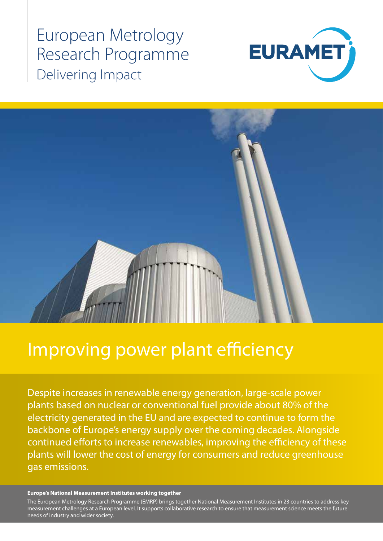European Metrology Research Programme Delivering Impact





# Improving power plant efficiency

Despite increases in renewable energy generation, large-scale power plants based on nuclear or conventional fuel provide about 80% of the electricity generated in the EU and are expected to continue to form the backbone of Europe's energy supply over the coming decades. Alongside continued efforts to increase renewables, improving the efficiency of these plants will lower the cost of energy for consumers and reduce greenhouse gas emissions.

### **Europe's National Measurement Institutes working together**

The European Metrology Research Programme (EMRP) brings together National Measurement Institutes in 23 countries to address key measurement challenges at a European level. It supports collaborative research to ensure that measurement science meets the future needs of industry and wider society.